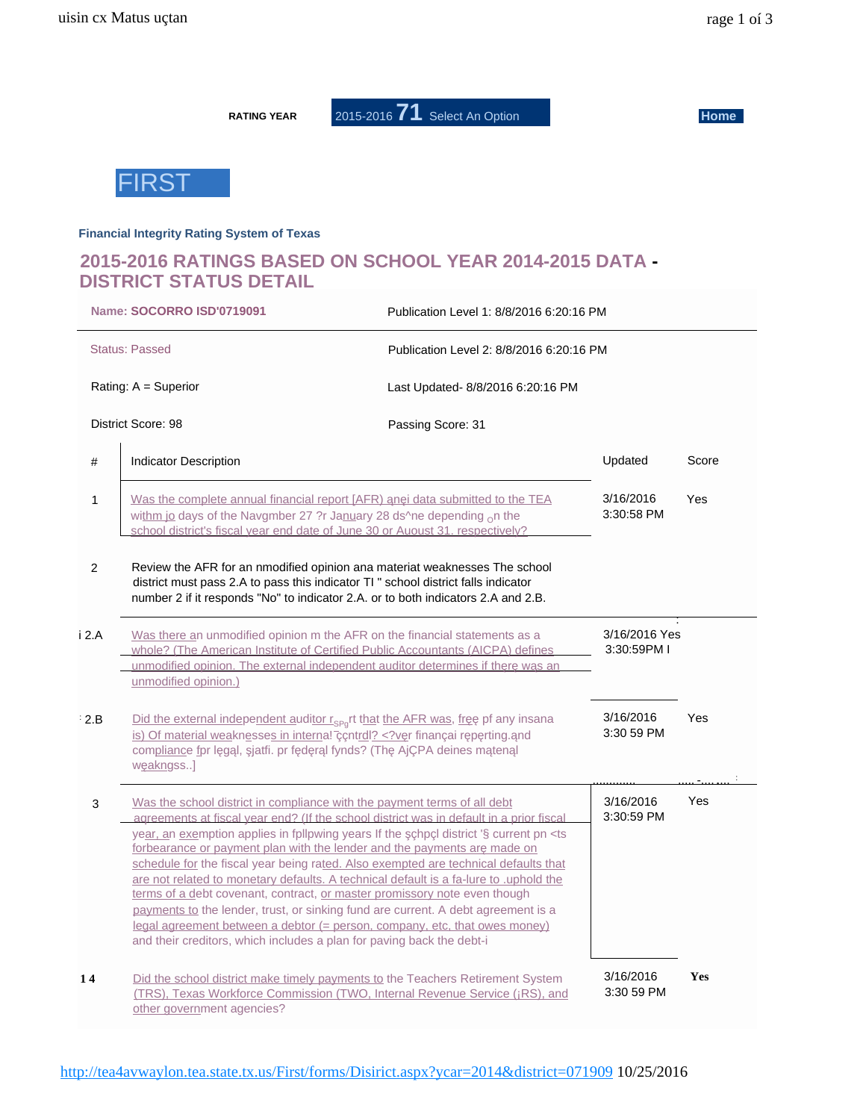**RATING YEAR** 

2015-2016 71 Select An Option

**Home** 



#### **Financial Integrity Rating System of Texas**

## 2015-2016 RATINGS BASED ON SCHOOL YEAR 2014-2015 DATA -**DISTRICT STATUS DETAIL**

|                | Name: SOCORRO ISD'0719091                                                                                                                                                                                                                                                                                                                                                                                                                                                                                                                                                                                                                                                                                                                                                                                                                                      | Publication Level 1: 8/8/2016 6:20:16 PM |                              |     |
|----------------|----------------------------------------------------------------------------------------------------------------------------------------------------------------------------------------------------------------------------------------------------------------------------------------------------------------------------------------------------------------------------------------------------------------------------------------------------------------------------------------------------------------------------------------------------------------------------------------------------------------------------------------------------------------------------------------------------------------------------------------------------------------------------------------------------------------------------------------------------------------|------------------------------------------|------------------------------|-----|
|                | <b>Status: Passed</b>                                                                                                                                                                                                                                                                                                                                                                                                                                                                                                                                                                                                                                                                                                                                                                                                                                          | Publication Level 2: 8/8/2016 6:20:16 PM |                              |     |
|                | Rating: A = Superior                                                                                                                                                                                                                                                                                                                                                                                                                                                                                                                                                                                                                                                                                                                                                                                                                                           | Last Updated- 8/8/2016 6:20:16 PM        |                              |     |
|                | <b>District Score: 98</b>                                                                                                                                                                                                                                                                                                                                                                                                                                                                                                                                                                                                                                                                                                                                                                                                                                      | Passing Score: 31                        |                              |     |
| #              | Indicator Description                                                                                                                                                                                                                                                                                                                                                                                                                                                                                                                                                                                                                                                                                                                                                                                                                                          | Updated                                  | Score                        |     |
| $\mathbf{1}$   | Was the complete annual financial report [AFR) n i data submitted to the TEA<br>withm jo days of the Navgmber 27 ?r January 28 ds^ne depending $_0$ n the<br>school district's fiscal year end date of June 30 or Auoust 31, respectively?                                                                                                                                                                                                                                                                                                                                                                                                                                                                                                                                                                                                                     | 3/16/2016<br>3:30:58 PM                  | Yes                          |     |
| $\overline{2}$ | Review the AFR for an nmodified opinion ana materiat weaknesses The school<br>district must pass 2.A to pass this indicator TI " school district falls indicator<br>number 2 if it responds "No" to indicator 2.A. or to both indicators 2.A and 2.B.                                                                                                                                                                                                                                                                                                                                                                                                                                                                                                                                                                                                          |                                          |                              |     |
| i 2.A          | Was there an unmodified opinion m the AFR on the financial statements as a<br>whole? (The American Institute of Certified Public Accountants (AICPA) defines<br>unmodified opinion. The external independent auditor determines if th r w s an<br>unmodified opinion.)                                                                                                                                                                                                                                                                                                                                                                                                                                                                                                                                                                                         |                                          | 3/16/2016 Yes<br>3:30:59PM I |     |
| 2.B            | Did the external independent auditor $r_{SP_0}$ rt that the AFR was, fr pf any insana<br>is) Of material weaknesses in internal control? v_r financai r_p_rting. nd<br compliance for I g I, jatfi. pr f d r I fynds? (Th AjÇPA deines m ten I<br>w_akngss]                                                                                                                                                                                                                                                                                                                                                                                                                                                                                                                                                                                                    | 3/16/2016<br>3:30 59 PM                  | <b>Yes</b>                   |     |
| 3              | Was the school district in compliance with the payment terms of all debt<br>agreements at fiscal year end? (If the school district was in default in a prior fiscal<br>year, an exemption applies in fpllpwing years If the chpcl district '§ current pn <ts<br>forbearance or payment plan with the lender and the payments ar made on<br/>schedule for the fiscal year being rated. Also exempted are technical defaults that<br/>are not related to monetary defaults. A technical default is a fa-lure to .uphold the<br/>terms of a debt covenant, contract, or master promissory note even though<br/>payments to the lender, trust, or sinking fund are current. A debt agreement is a<br/>legal agreement between a debtor (= person, company, etc, that owes money)<br/>and their creditors, which includes a plan for paving back the debt-i</ts<br> |                                          | 3/16/2016<br>3:30:59 PM      | Yes |
| 14             | Did the school district make timely payments to the Teachers Retirement System<br>(TRS), Texas Workforce Commission (TWO, Internal Revenue Service (¡RS), and<br>other government agencies?                                                                                                                                                                                                                                                                                                                                                                                                                                                                                                                                                                                                                                                                    |                                          | 3/16/2016<br>3:30 59 PM      | Yes |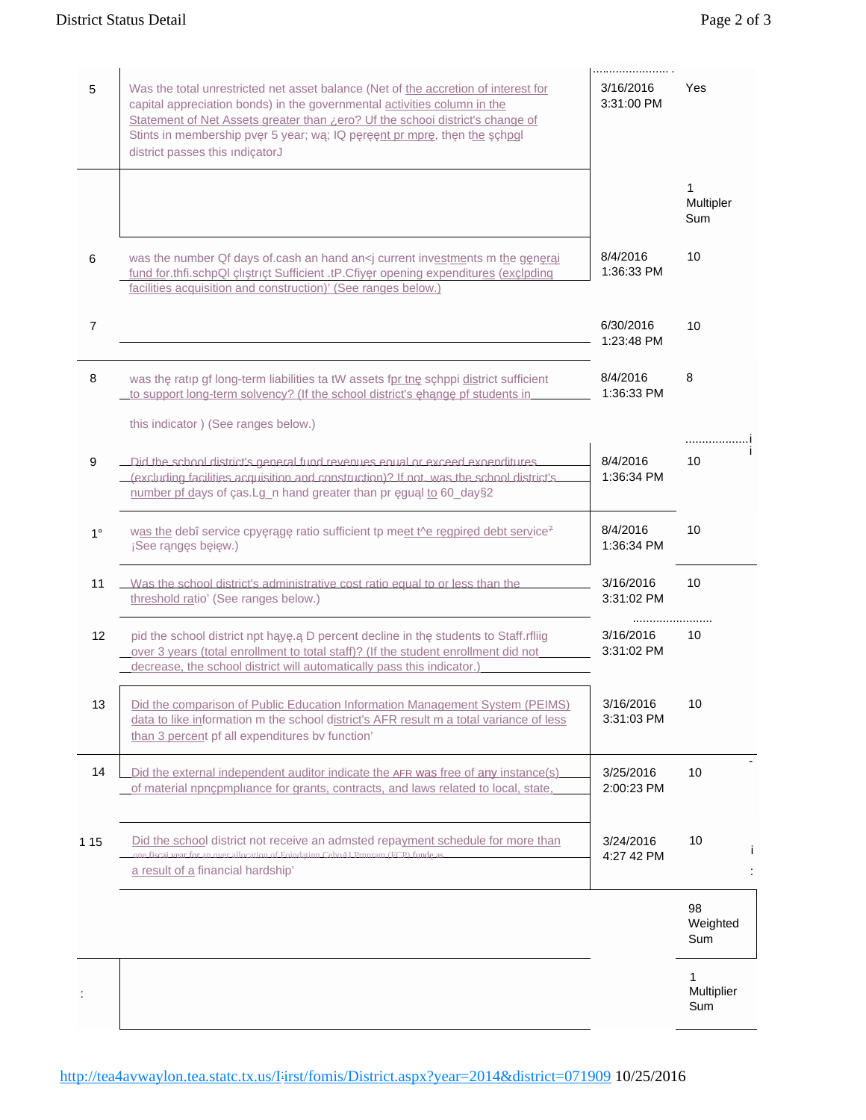| 5              | Was the total unrestricted net asset balance (Net of the accretion of interest for<br>capital appreciation bonds) in the governmental activities column in the<br>Statement of Net Assets greater than <i>i</i> ero? Uf the schooi district's change of<br>Stints in membership pv r 5 year; w ; IQ p r nt pr mpr, th n the chpql<br>district passes this indicatorJ | <br>3/16/2016<br>3:31:00 PM | Yes                    |
|----------------|----------------------------------------------------------------------------------------------------------------------------------------------------------------------------------------------------------------------------------------------------------------------------------------------------------------------------------------------------------------------|-----------------------------|------------------------|
|                |                                                                                                                                                                                                                                                                                                                                                                      |                             | 1<br>Multipler<br>Sum  |
| 6              | was the number Qf days of cash an hand an <i <math="" current="" investments="" m="" the="">g_n r_i<br/>fund for.thfi.schpQl çlı trıçt Sufficient .tP.Cfiy r opening expenditures (exclpding<br/>facilities acquisition and construction)' (See ranges below.)</i>                                                                                                   | 8/4/2016<br>1:36:33 PM      | 10                     |
| $\overline{7}$ |                                                                                                                                                                                                                                                                                                                                                                      | 6/30/2016<br>1:23:48 PM     | 10                     |
| 8              | was th ratip gf long-term liabilities ta tW assets fpr tn_schppi district sufficient<br>to support long-term solvency? (If the school district's h ng pf students in                                                                                                                                                                                                 | 8/4/2016<br>1:36:33 PM      | 8                      |
| 9              | this indicator) (See ranges below.)<br>Did the school district's general fund revenues equal or exceed expenditures<br>(excluding facilities acquisition and construction)? If not was the school district's<br>number pf days of cas.Lg_n hand greater than pr gu I to 60_day§2                                                                                     | 8/4/2016<br>1:36:34 PM      | .<br>10                |
| $1^{\circ}$    | was the debî service cpy r g ratio sufficient tp meet the r gpir d debt service <sup>7</sup><br>¡Seerng sbiw.)                                                                                                                                                                                                                                                       | 8/4/2016<br>1:36:34 PM      | 10                     |
| 11             | Was the school district's administrative cost ratio equal to or less than the<br>threshold ratio' (See ranges below.)                                                                                                                                                                                                                                                | 3/16/2016<br>3:31:02 PM     | 10                     |
| 12             | pid the school district npt h y . D percent decline in th students to Staff.rfliig<br>over 3 years (total enrollment to total staff)? (If the student enrollment did not<br>decrease, the school district will automatically pass this indicator.)                                                                                                                   | 3/16/2016<br>3:31:02 PM     | 10                     |
| 13             | Did the comparison of Public Education Information Management System (PEIMS)<br>data to like information m the school district's AFR result m a total variance of less<br>than 3 percent pf all expenditures by function'                                                                                                                                            | 3/16/2016<br>3:31:03 PM     | 10                     |
| 14             | Did the external independent auditor indicate the AFR was free of any instance(s)<br>of material npncpmpliance for grants, contracts, and laws related to local, state,                                                                                                                                                                                              | 3/25/2016<br>2:00:23 PM     | 10                     |
| 1 15           | Did the school district not receive an admsted repayment schedule for more than<br>fiscai vear for an over allocation of Foind, tinn Ceho AJ Prnnram (FCP) fund as<br>a result of a financial hardship'                                                                                                                                                              | 3/24/2016<br>4:27 42 PM     | 10                     |
|                |                                                                                                                                                                                                                                                                                                                                                                      |                             | 98<br>Weighted<br>Sum  |
|                |                                                                                                                                                                                                                                                                                                                                                                      |                             | 1<br>Multiplier<br>Sum |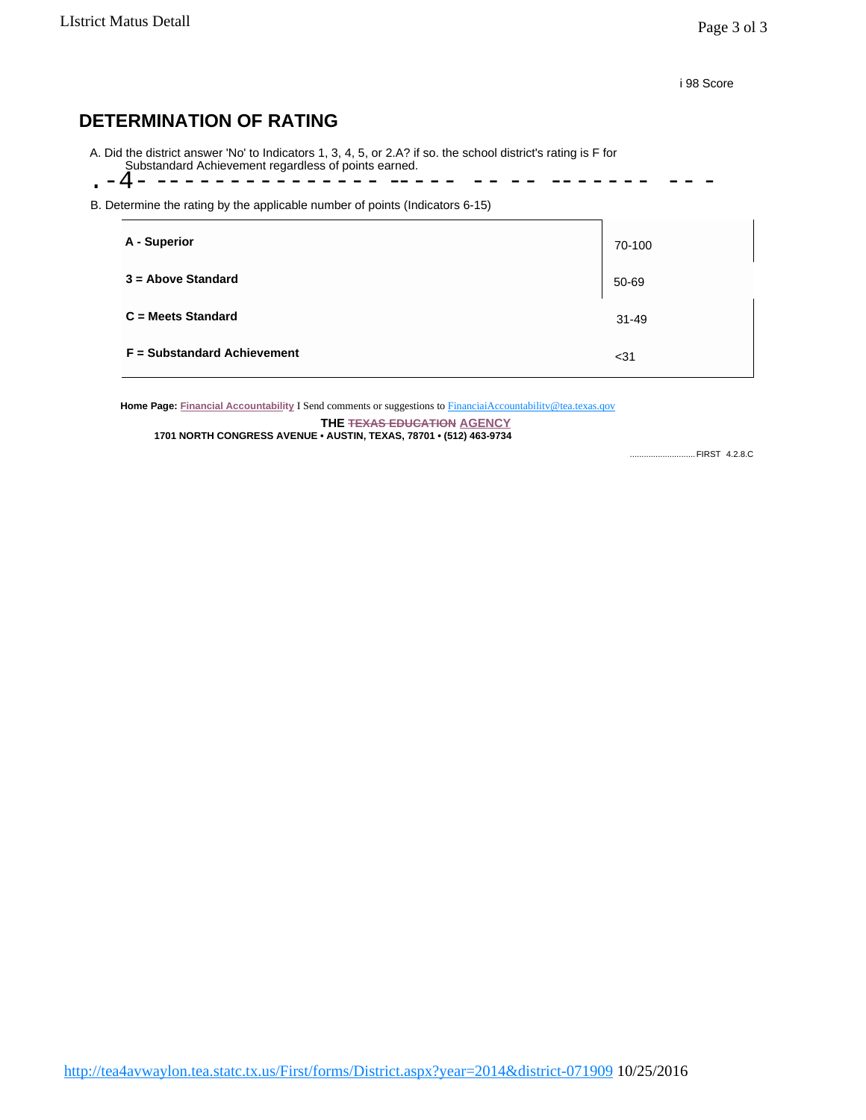i 98 Score

# **DETERMINATION OF RATING**

A. Did the district answer 'No' to Indicators 1, 3, 4, 5, or 2.A? if so. the school district's rating is F for Substandard Achievement regardless of points earned.

.-4- --------------- ----- -- -- -------

B. Determine the rating by the applicable number of points (Indicators 6-15)

| A - Superior                       | 70-100    |
|------------------------------------|-----------|
| $3 =$ Above Standard               | 50-69     |
| $C = Meets$ Standard               | $31 - 49$ |
| <b>F</b> = Substandard Achievement | $31$      |

Home Page: Financial Accountability I Send comments or suggestions to FinanciaiAccountability@tea.texas.qov

**THE TEXAS EDUCATION AGENCY 1701 NORTH CONGRESS AVENUE • AUSTIN, TEXAS, 78701 • (512) 463-9734**

............................FIRST 4.2.8.C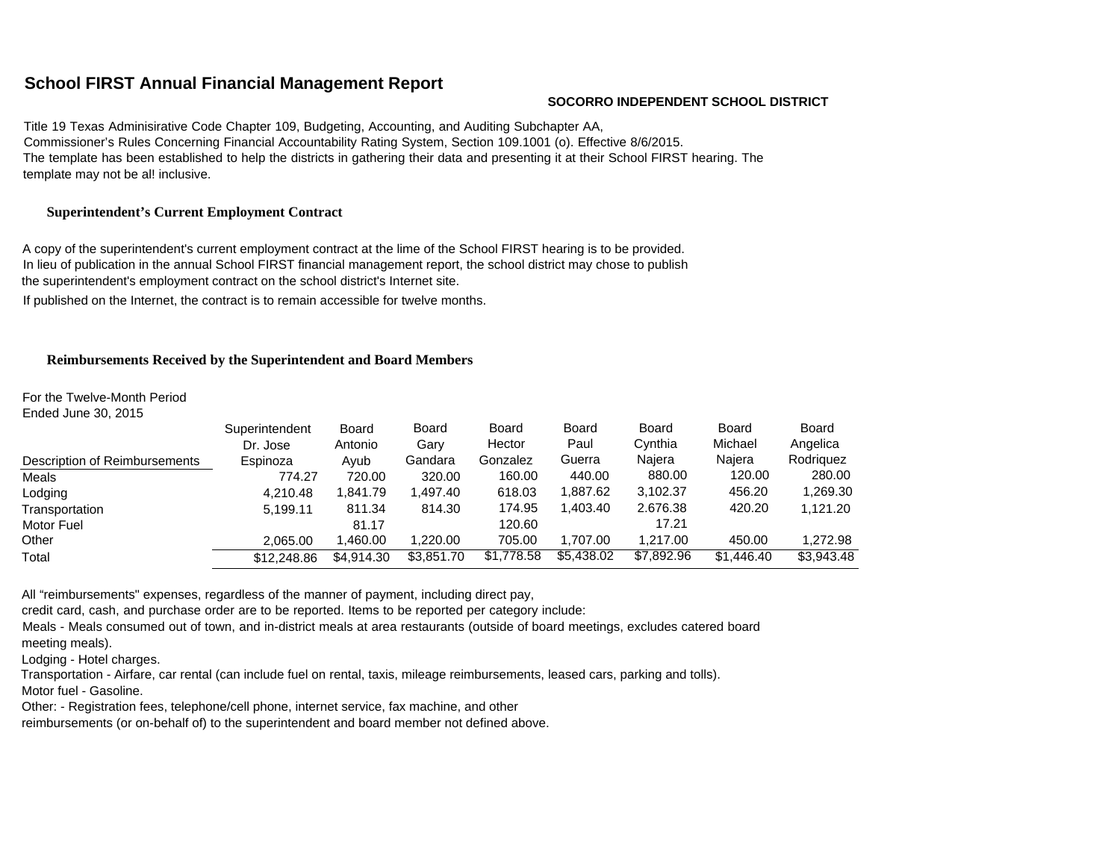### **School FIRST Annual Financial Management Report**

#### **SOCORRO INDEPENDENT SCHOOL DISTRICT**

Title 19 Texas Adminisirative Code Chapter 109, Budgeting, Accounting, and Auditing Subchapter AA, Commissioner's Rules Concerning Financial Accountability Rating System, Section 109.1001 (o). Effective 8/6/2015. The template has been established to help the districts in gathering their data and presenting it at their School FIRST hearing. The template may not be al! inclusive.

#### **Superintendent's Current Employment Contract**

A copy of the superintendent's current employment contract at the lime of the School FIRST hearing is to be provided. In lieu of publication in the annual School FIRST financial management report, the school district may chose to publish the superintendent's employment contract on the school district's Internet site. If published on the Internet, the contract is to remain accessible for twelve months.

#### **Reimbursements Received by the Superintendent and Board Members**

For the Twelve-Month Period

Ended June 30, 2015

|                               | Superintendent | <b>Board</b> | <b>Board</b> | <b>Board</b> | Board      | <b>Board</b> | Board      | <b>Board</b> |
|-------------------------------|----------------|--------------|--------------|--------------|------------|--------------|------------|--------------|
|                               | Dr. Jose       | Antonio      | Gary         | Hector       | Paul       | Cvnthia      | Michael    | Angelica     |
| Description of Reimbursements | Espinoza       | Ayub         | Gandara      | Gonzalez     | Guerra     | Najera       | Najera     | Rodriguez    |
| Meals                         | 774.27         | 720.00       | 320.00       | 160.00       | 440.00     | 880.00       | 120.00     | 280.00       |
| Lodging                       | 4,210.48       | 1.841.79     | 1.497.40     | 618.03       | 1,887.62   | 3,102.37     | 456.20     | 1,269.30     |
| Transportation                | 5.199.11       | 811.34       | 814.30       | 174.95       | 1.403.40   | 2.676.38     | 420.20     | 1,121.20     |
| Motor Fuel                    |                | 81.17        |              | 120.60       |            | 17.21        |            |              |
| Other                         | 2.065.00       | 1.460.00     | 1.220.00     | 705.00       | 1.707.00   | 1.217.00     | 450.00     | 1.272.98     |
| Total                         | \$12,248.86    | \$4,914.30   | \$3,851.70   | \$1,778.58   | \$5,438.02 | \$7,892.96   | \$1,446.40 | \$3,943.48   |

All "reimbursements" expenses, regardless of the manner of payment, including direct pay,

credit card, cash, and purchase order are to be reported. Items to be reported per category include:

Meals - Meals consumed out of town, and in-district meals at area restaurants (outside of board meetings, excludes catered board meeting meals).

Lodging - Hotel charges.

Transportation - Airfare, car rental (can include fuel on rental, taxis, mileage reimbursements, leased cars, parking and tolls).

Motor fuel - Gasoline.

Other: - Registration fees, telephone/cell phone, internet service, fax machine, and other

reimbursements (or on-behalf of) to the superintendent and board member not defined above.